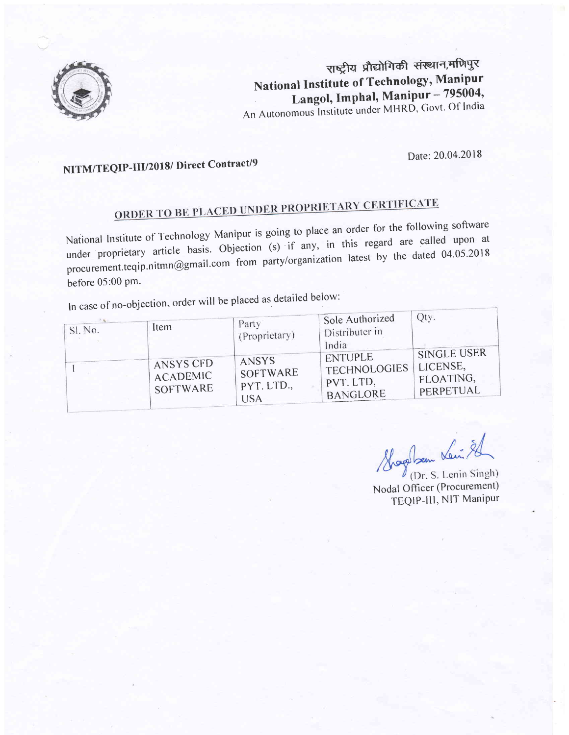

राष्ट्रीय प्रौद्योगिकी संस्थान,मणिपुर National Institute of Technology, Manipur Langol, Imphal, Manipur - 795004, An Autonomous Institute under MHRD, Govt. Of India

Date: 20.04.2018

## NITM/TEQIP-III/2018/ Direct Contract/9

## **ORDER TO BE PLACED UNDER PROPRIETARY CERTIFICATE**

National Institute of Technology Manipur is going to place an order for the following software under proprietary article basis. Objection (s) if any, in this regard are called upon at procurement.teqip.nitmn@gmail.com from party/organization latest by the dated 04.05.2018 before 05:00 pm.

In case of no-objection, order will be placed as detailed below:

| SI. No. | Item                              | Party<br>(Proprietary)                        | Sole Authorized<br>Distributer in<br>India       | Qty.<br>SINGLE USER<br>LICENSE,<br>FLOATING,<br>PERPETUAL |
|---------|-----------------------------------|-----------------------------------------------|--------------------------------------------------|-----------------------------------------------------------|
|         | ANSYS CFD<br>ACADEMIC<br>SOFTWARE | ANSYS<br>SOFTWARE<br>PYT. LTD.,<br><b>USA</b> | ENTUPLE<br>TECHNOLOGIES<br>PVT. LTD,<br>BANGLORE |                                                           |

Shapten Ven 2

(Dr. S. Lenin Singh) Nodal Officer (Procurement) TEQIP-III, NIT Manipur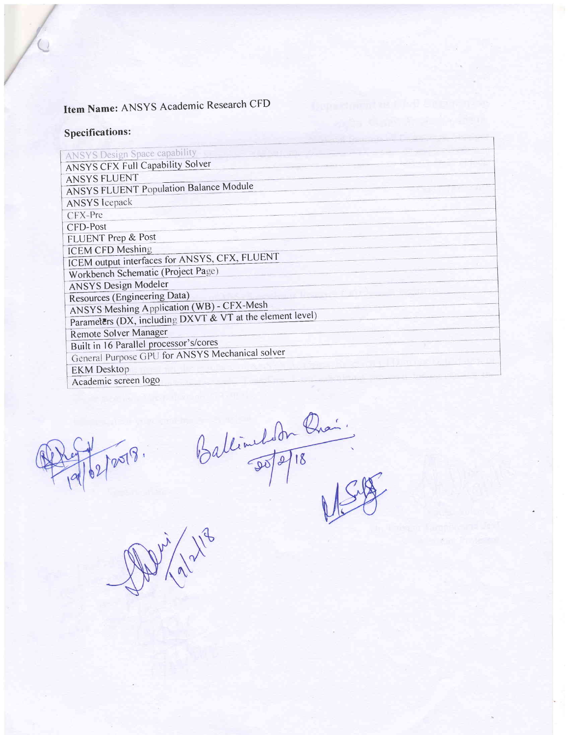## Item Name: ANSYS Academic Research CFD

## **Specifications:**

| <b>ANSYS Design Space capability</b>                      |
|-----------------------------------------------------------|
| ANSYS CFX Full Capability Solver                          |
| <b>ANSYS FLUENT</b>                                       |
| ANSYS FLUENT Population Balance Module                    |
| <b>ANSYS</b> Icepack                                      |
| CFX-Pre                                                   |
| CFD-Post                                                  |
| FLUENT Prep & Post                                        |
| <b>ICEM CFD Meshing</b>                                   |
| ICEM output interfaces for ANSYS, CFX, FLUENT             |
| Workbench Schematic (Project Page)                        |
| <b>ANSYS Design Modeler</b>                               |
| Resources (Engineering Data)                              |
| ANSYS Meshing Application (WB) - CFX-Mesh                 |
| Parameters (DX, including DXVT & VT at the element level) |
| Remote Solver Manager                                     |
| Built in 16 Parallel processor's/cores                    |
| General Purpose GPU for ANSYS Mechanical solver           |
| <b>EKM Desktop</b>                                        |
| Academic screen logo                                      |
|                                                           |

Dept 2178

02/2018.

Baltimelden Prai.